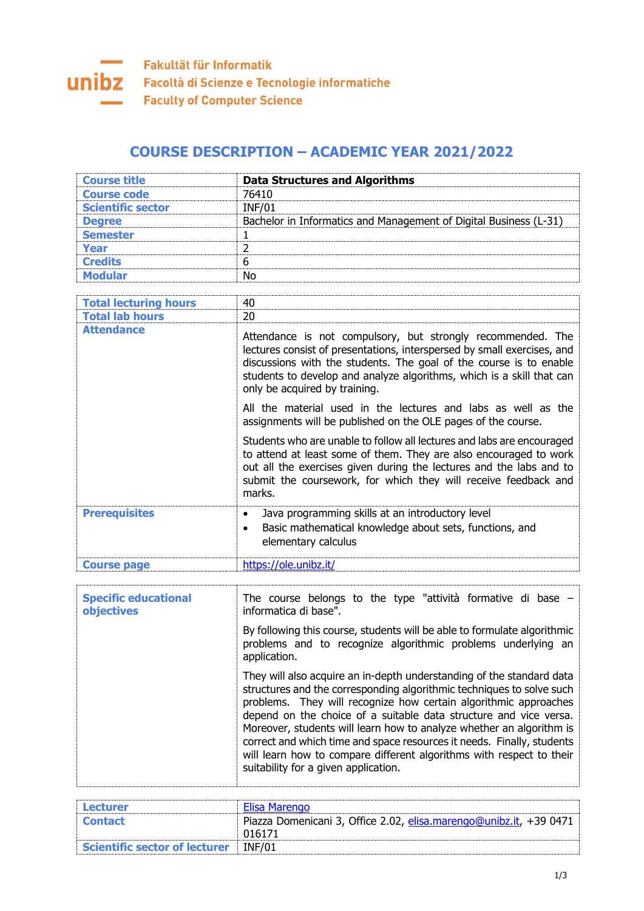## **COURSE DESCRIPTION – ACADEMIC YEAR 2021/2022**

| <b>Course title</b>                       | <b>Data Structures and Algorithms</b>                                                                                                                                                                                                                                                                                                                                                                                                                                                                                                                     |
|-------------------------------------------|-----------------------------------------------------------------------------------------------------------------------------------------------------------------------------------------------------------------------------------------------------------------------------------------------------------------------------------------------------------------------------------------------------------------------------------------------------------------------------------------------------------------------------------------------------------|
| <b>Course code</b>                        | 76410                                                                                                                                                                                                                                                                                                                                                                                                                                                                                                                                                     |
| <b>Scientific sector</b>                  | <b>INF/01</b>                                                                                                                                                                                                                                                                                                                                                                                                                                                                                                                                             |
| <b>Degree</b>                             | Bachelor in Informatics and Management of Digital Business (L-31)                                                                                                                                                                                                                                                                                                                                                                                                                                                                                         |
| <b>Semester</b>                           | 1                                                                                                                                                                                                                                                                                                                                                                                                                                                                                                                                                         |
| <b>Year</b>                               | $\overline{2}$                                                                                                                                                                                                                                                                                                                                                                                                                                                                                                                                            |
| <b>Credits</b>                            | 6                                                                                                                                                                                                                                                                                                                                                                                                                                                                                                                                                         |
| <b>Modular</b>                            | <b>No</b>                                                                                                                                                                                                                                                                                                                                                                                                                                                                                                                                                 |
|                                           |                                                                                                                                                                                                                                                                                                                                                                                                                                                                                                                                                           |
| <b>Total lecturing hours</b>              | 40                                                                                                                                                                                                                                                                                                                                                                                                                                                                                                                                                        |
| <b>Total lab hours</b>                    | 20                                                                                                                                                                                                                                                                                                                                                                                                                                                                                                                                                        |
| <b>Attendance</b>                         | Attendance is not compulsory, but strongly recommended. The<br>lectures consist of presentations, interspersed by small exercises, and<br>discussions with the students. The goal of the course is to enable<br>students to develop and analyze algorithms, which is a skill that can<br>only be acquired by training.                                                                                                                                                                                                                                    |
|                                           | All the material used in the lectures and labs as well as the<br>assignments will be published on the OLE pages of the course.                                                                                                                                                                                                                                                                                                                                                                                                                            |
|                                           | Students who are unable to follow all lectures and labs are encouraged<br>to attend at least some of them. They are also encouraged to work<br>out all the exercises given during the lectures and the labs and to<br>submit the coursework, for which they will receive feedback and<br>marks.                                                                                                                                                                                                                                                           |
| <b>Prerequisites</b>                      | Java programming skills at an introductory level<br>$\bullet$<br>Basic mathematical knowledge about sets, functions, and<br>$\bullet$<br>elementary calculus                                                                                                                                                                                                                                                                                                                                                                                              |
| <b>Course page</b>                        | https://ole.unibz.it/                                                                                                                                                                                                                                                                                                                                                                                                                                                                                                                                     |
|                                           |                                                                                                                                                                                                                                                                                                                                                                                                                                                                                                                                                           |
| <b>Specific educational</b><br>objectives | The course belongs to the type "attività formative di base $-$<br>informatica di base".                                                                                                                                                                                                                                                                                                                                                                                                                                                                   |
|                                           | By following this course, students will be able to formulate algorithmic<br>problems and to recognize algorithmic problems underlying an<br>application.                                                                                                                                                                                                                                                                                                                                                                                                  |
|                                           | They will also acquire an in-depth understanding of the standard data<br>structures and the corresponding algorithmic techniques to solve such<br>problems. They will recognize how certain algorithmic approaches<br>depend on the choice of a suitable data structure and vice versa.<br>Moreover, students will learn how to analyze whether an algorithm is<br>correct and which time and space resources it needs. Finally, students<br>will learn how to compare different algorithms with respect to their<br>suitability for a given application. |

| Lecturer                      | Elisa Marengo                                                      |
|-------------------------------|--------------------------------------------------------------------|
| <b>Contact</b>                | Piazza Domenicani 3, Office 2.02, elisa.marengo@unibz.it, +39 0471 |
|                               | 016171                                                             |
| Scientific sector of lecturer | <b>INF/01</b>                                                      |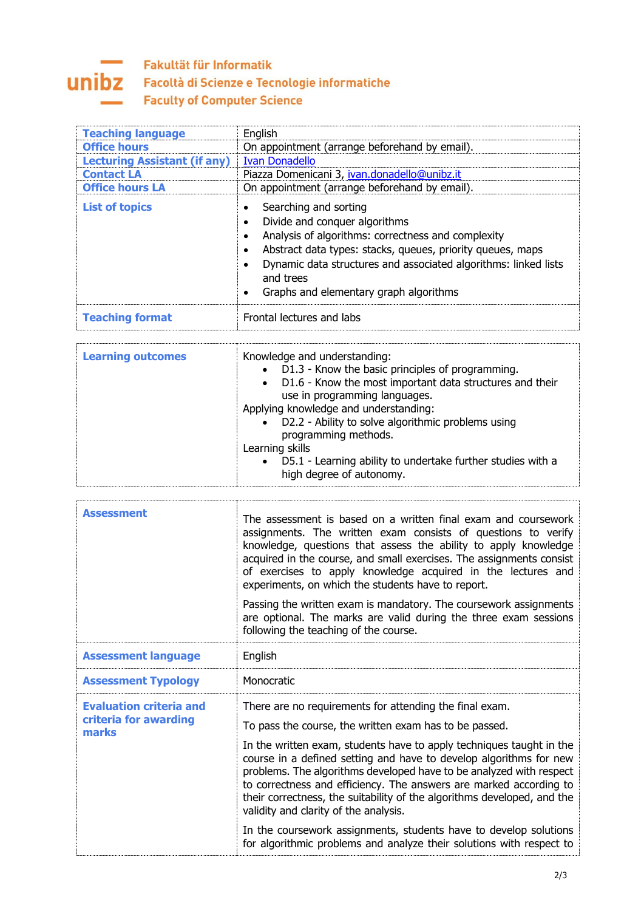## Fakultät für Informatik **UNIDZ** Facoltà di Scienze e Tecnologie informatiche **Faculty of Computer Science**

| <b>Teaching language</b><br><b>Office hours</b><br><b>Lecturing Assistant (if any)</b><br><b>Contact LA</b><br><b>Office hours LA</b> | English<br>On appointment (arrange beforehand by email).<br><b>Ivan Donadello</b><br>Piazza Domenicani 3, ivan.donadello@unibz.it<br>On appointment (arrange beforehand by email).                                                                                                                   |
|---------------------------------------------------------------------------------------------------------------------------------------|------------------------------------------------------------------------------------------------------------------------------------------------------------------------------------------------------------------------------------------------------------------------------------------------------|
| <b>List of topics</b>                                                                                                                 | Searching and sorting<br>Divide and conquer algorithms<br>Analysis of algorithms: correctness and complexity<br>Abstract data types: stacks, queues, priority queues, maps<br>Dynamic data structures and associated algorithms: linked lists<br>and trees<br>Graphs and elementary graph algorithms |
| <b>Teaching format</b>                                                                                                                | Frontal lectures and labs                                                                                                                                                                                                                                                                            |

| <b>Assessment</b>                                                | The assessment is based on a written final exam and coursework<br>assignments. The written exam consists of questions to verify<br>knowledge, questions that assess the ability to apply knowledge<br>acquired in the course, and small exercises. The assignments consist<br>of exercises to apply knowledge acquired in the lectures and<br>experiments, on which the students have to report.<br>Passing the written exam is mandatory. The coursework assignments<br>are optional. The marks are valid during the three exam sessions<br>following the teaching of the course.                                                                                            |
|------------------------------------------------------------------|-------------------------------------------------------------------------------------------------------------------------------------------------------------------------------------------------------------------------------------------------------------------------------------------------------------------------------------------------------------------------------------------------------------------------------------------------------------------------------------------------------------------------------------------------------------------------------------------------------------------------------------------------------------------------------|
| <b>Assessment language</b>                                       | English                                                                                                                                                                                                                                                                                                                                                                                                                                                                                                                                                                                                                                                                       |
| <b>Assessment Typology</b>                                       | Monocratic                                                                                                                                                                                                                                                                                                                                                                                                                                                                                                                                                                                                                                                                    |
| <b>Evaluation criteria and</b><br>criteria for awarding<br>marks | There are no requirements for attending the final exam.<br>To pass the course, the written exam has to be passed.<br>In the written exam, students have to apply techniques taught in the<br>course in a defined setting and have to develop algorithms for new<br>problems. The algorithms developed have to be analyzed with respect<br>to correctness and efficiency. The answers are marked according to<br>their correctness, the suitability of the algorithms developed, and the<br>validity and clarity of the analysis.<br>In the coursework assignments, students have to develop solutions<br>for algorithmic problems and analyze their solutions with respect to |